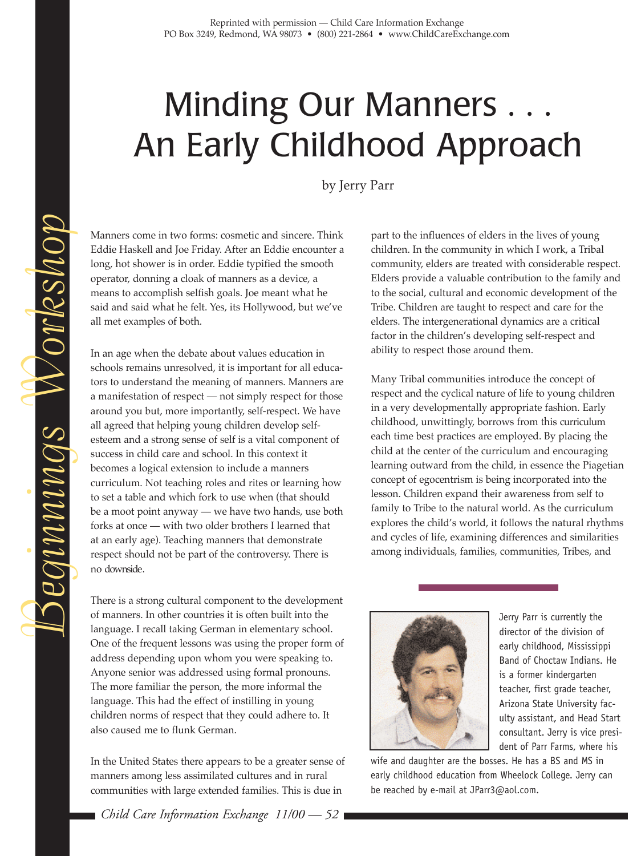## Minding Our Manners . . . An Early Childhood Approach

by Jerry Parr

Manners come in two forms: cosmetic and sincere. Think Eddie Haskell and Joe Friday. After an Eddie encounter a long, hot shower is in order. Eddie typified the smooth operator, donning a cloak of manners as a device, a means to accomplish selfish goals. Joe meant what he said and said what he felt. Yes, its Hollywood, but we've all met examples of both.

In an age when the debate about values education in schools remains unresolved, it is important for all educators to understand the meaning of manners. Manners are a manifestation of respect — not simply respect for those around you but, more importantly, self-respect. We have all agreed that helping young children develop selfesteem and a strong sense of self is a vital component of success in child care and school. In this context it becomes a logical extension to include a manners curriculum. Not teaching roles and rites or learning how to set a table and which fork to use when (that should be a moot point anyway — we have two hands, use both forks at once — with two older brothers I learned that at an early age). Teaching manners that demonstrate respect should not be part of the controversy. There is no *downside*.

There is a strong cultural component to the development of manners. In other countries it is often built into the language. I recall taking German in elementary school. One of the frequent lessons was using the proper form of address depending upon whom you were speaking to. Anyone senior was addressed using formal pronouns. The more familiar the person, the more informal the language. This had the effect of instilling in young children norms of respect that they could adhere to. It also caused me to flunk German.

In the United States there appears to be a greater sense of manners among less assimilated cultures and in rural communities with large extended families. This is due in

*Child Care Information Exchange 11/00 — 52*

part to the influences of elders in the lives of young children. In the community in which I work, a Tribal community, elders are treated with considerable respect. Elders provide a valuable contribution to the family and to the social, cultural and economic development of the Tribe. Children are taught to respect and care for the elders. The intergenerational dynamics are a critical factor in the children's developing self-respect and ability to respect those around them.

Many Tribal communities introduce the concept of respect and the cyclical nature of life to young children in a very developmentally appropriate fashion. Early childhood, unwittingly, borrows from this *curriculum* each time best practices are employed. By placing the child at the center of the curriculum and encouraging learning outward from the child, in essence the Piagetian concept of egocentrism is being incorporated into the lesson. Children expand their awareness from self to family to Tribe to the natural world. As the curriculum explores the child's world, it follows the natural rhythms and cycles of life, examining differences and similarities among individuals, families, communities, Tribes, and



Jerry Parr is currently the director of the division of early childhood, Mississippi Band of Choctaw Indians. He is a former kindergarten teacher, first grade teacher, Arizona State University faculty assistant, and Head Start consultant. Jerry is vice president of Parr Farms, where his

wife and daughter are the bosses. He has a BS and MS in early childhood education from Wheelock College. Jerry can be reached by e-mail at JParr3@aol.com.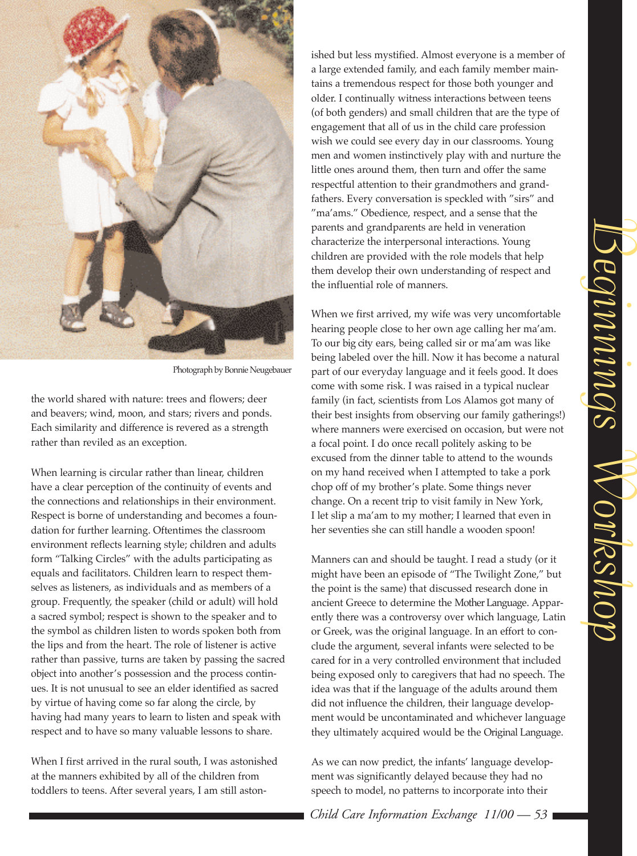

*Photograph by Bonnie Neugebauer*

the world shared with nature: trees and flowers; deer and beavers; wind, moon, and stars; rivers and ponds. Each similarity and difference is revered as a strength rather than reviled as an exception.

When learning is circular rather than linear, children have a clear perception of the continuity of events and the connections and relationships in their environment. Respect is borne of understanding and becomes a foundation for further learning. Oftentimes the classroom environment reflects learning style; children and adults form "Talking Circles" with the adults participating as equals and facilitators. Children learn to respect themselves as listeners, as individuals and as members of a group. Frequently, the speaker (child or adult) will hold a sacred symbol; respect is shown to the speaker and to the symbol as children listen to words spoken both from the lips and from the heart. The role of listener is active rather than passive, turns are taken by passing the sacred object into another's possession and the process continues. It is not unusual to see an elder identified as sacred by virtue of having come so far along the circle, by having had many years to learn to listen and speak with respect and to have so many valuable lessons to share.

When I first arrived in the rural south, I was astonished at the manners exhibited by all of the children from toddlers to teens. After several years, I am still aston-

ished but less mystified. Almost everyone is a member of a large extended family, and each family member maintains a tremendous respect for those both younger and older. I continually witness interactions between teens (of both genders) and small children that are the type of engagement that all of us in the child care profession wish we could see every day in our classrooms. Young men and women instinctively play with and nurture the little ones around them, then turn and offer the same respectful attention to their grandmothers and grandfathers. Every conversation is speckled with "sirs" and "ma'ams." Obedience, respect, and a sense that the parents and grandparents are held in veneration characterize the interpersonal interactions. Young children are provided with the role models that help them develop their own understanding of respect and the influential role of manners.

When we first arrived, my wife was very uncomfortable hearing people close to her own age calling her ma'am. To our *big city* ears, being called sir or ma'am was like being labeled over the hill. Now it has become a natural part of our everyday language and it feels good. It does come with some risk. I was raised in a typical nuclear family (in fact, scientists from Los Alamos got many of their best insights from observing our family gatherings!) where manners were exercised on occasion, but were not a focal point. I do once recall politely asking to be excused from the dinner table to attend to the wounds on my hand received when I attempted to take a pork chop off of my brother's plate. Some things never change. On a recent trip to visit family in New York, I let slip a ma'am to my mother; I learned that even in her seventies she can still handle a wooden spoon!

Manners can and should be taught. I read a study (or it might have been an episode of "The Twilight Zone," but the point is the same) that discussed research done in ancient Greece to determine the *Mother Language*. Apparently there was a controversy over which language, Latin or Greek, was the original language. In an effort to conclude the argument, several infants were selected to be cared for in a very controlled environment that included being exposed only to caregivers that had no speech. The idea was that if the language of the adults around them did not influence the children, their language development would be uncontaminated and whichever language they ultimately acquired would be the *Original Language*.

As we can now predict, the infants' language development was significantly delayed because they had no speech to model, no patterns to incorporate into their

*Child Care Information Exchange 11/00 — 53*